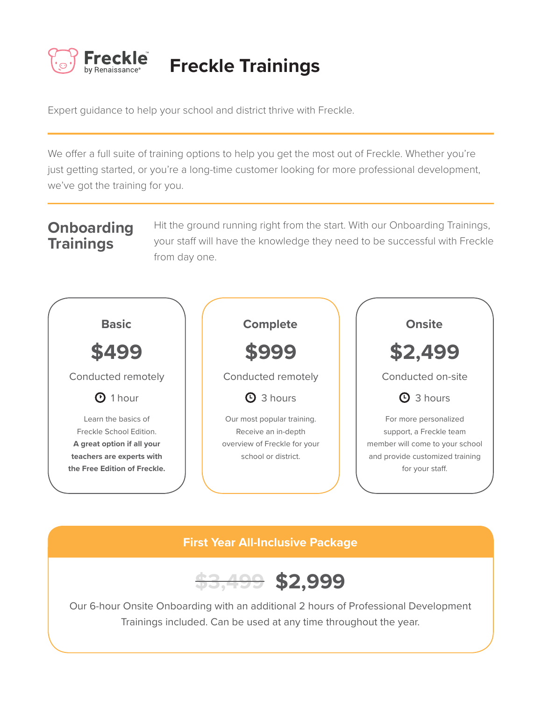

# **Freckle Trainings**

Expert guidance to help your school and district thrive with Freckle.

We offer a full suite of training options to help you get the most out of Freckle. Whether you're just getting started, or you're a long-time customer looking for more professional development, we've got the training for you.

## **Onboarding Trainings**

Hit the ground running right from the start. With our Onboarding Trainings, your staff will have the knowledge they need to be successful with Freckle from day one.



### **First Year All-Inclusive Package**



Our 6-hour Onsite Onboarding with an additional 2 hours of Professional Development Trainings included. Can be used at any time throughout the year.